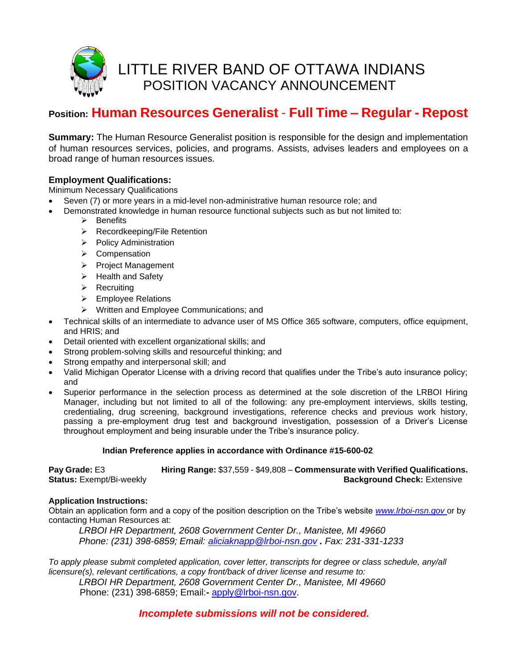

# **Position: Human Resources Generalist** - **Full Time – Regular - Repost**

**Summary:** The Human Resource Generalist position is responsible for the design and implementation of human resources services, policies, and programs. Assists, advises leaders and employees on a broad range of human resources issues.

## **Employment Qualifications:**

Minimum Necessary Qualifications

- Seven (7) or more years in a mid-level non-administrative human resource role; and
- Demonstrated knowledge in human resource functional subjects such as but not limited to:
	- ➢ Benefits
	- ➢ Recordkeeping/File Retention
	- ➢ Policy Administration
	- ➢ Compensation
	- ➢ Project Management
	- ➢ Health and Safety
	- ➢ Recruiting
	- ➢ Employee Relations
	- ➢ Written and Employee Communications; and
- Technical skills of an intermediate to advance user of MS Office 365 software, computers, office equipment, and HRIS; and
- Detail oriented with excellent organizational skills; and
- Strong problem-solving skills and resourceful thinking; and
- Strong empathy and interpersonal skill; and
- Valid Michigan Operator License with a driving record that qualifies under the Tribe's auto insurance policy; and
- Superior performance in the selection process as determined at the sole discretion of the LRBOI Hiring Manager, including but not limited to all of the following: any pre-employment interviews, skills testing, credentialing, drug screening, background investigations, reference checks and previous work history, passing a pre-employment drug test and background investigation, possession of a Driver's License throughout employment and being insurable under the Tribe's insurance policy.

#### **Indian Preference applies in accordance with Ordinance #15-600-02**

**Pay Grade:** E3 **Hiring Range:** \$37,559 - \$49,808 – **Commensurate with Verified Qualifications. Status:** Exempt/Bi-weekly **Background Check:** Extensive

#### **Application Instructions:**

Obtain an application form and a copy of the position description on the Tribe's website *[www.lrboi-nsn.gov](http://www.lrboi-nsn.gov/)* or by contacting Human Resources at:

*LRBOI HR Department, 2608 Government Center Dr., Manistee, MI 49660 Phone: (231) 398-6859; Email: [aliciaknapp@lrboi-nsn.gov](mailto:aliciaknapp@lrboi-nsn.gov) . Fax: 231-331-1233*

*To apply please submit completed application, cover letter, transcripts for degree or class schedule, any/all licensure(s), relevant certifications, a copy front/back of driver license and resume to:* 

*LRBOI HR Department, 2608 Government Center Dr., Manistee, MI 49660* Phone: (231) 398-6859; Email:**-** [apply@lrboi-nsn.gov.](mailto:apply@lrboi-nsn.gov)

 *Incomplete submissions will not be considered.*